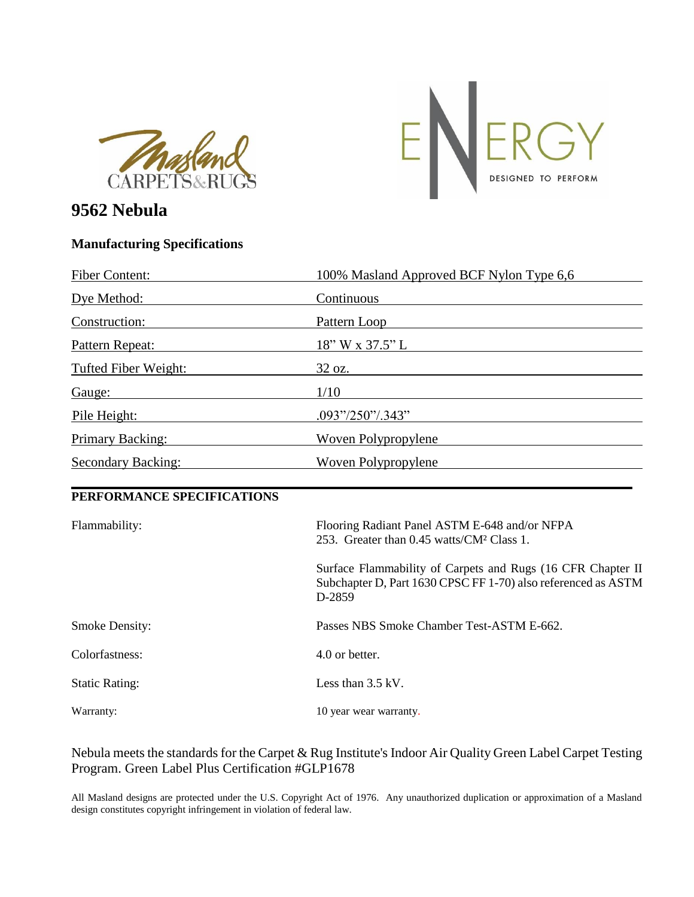



## **9562 Nebula**

## **Manufacturing Specifications**

| <b>Fiber Content:</b>                                                                                                                                                                                                          | 100% Masland Approved BCF Nylon Type 6,6                                                                                                                                                                                                           |
|--------------------------------------------------------------------------------------------------------------------------------------------------------------------------------------------------------------------------------|----------------------------------------------------------------------------------------------------------------------------------------------------------------------------------------------------------------------------------------------------|
| Dye Method:                                                                                                                                                                                                                    | Continuous<br><u>a sa mga barangan ng mga barangan ng mga barangan ng mga barangan ng mga barangang ng mga barangang ng mga barangang ng mga barangang ng mga barangay ng mga barangay ng mga barangay ng mga barangay ng mga barangay ng mga </u> |
| Construction:                                                                                                                                                                                                                  | Pattern Loop                                                                                                                                                                                                                                       |
| Pattern Repeat:                                                                                                                                                                                                                | 18" W x 37.5" L                                                                                                                                                                                                                                    |
| <b>Tufted Fiber Weight:</b>                                                                                                                                                                                                    | $32 \text{ oz.}$                                                                                                                                                                                                                                   |
| Gauge: the contract of the contract of the contract of the contract of the contract of the contract of the contract of the contract of the contract of the contract of the contract of the contract of the contract of the con | 1/10<br><u>a sa barang ang pagbabang nagpagpagpang nagpagpagpang nagpagpagpagpang nagpagpagpagpagpagpagpagpagpagpagpagpag</u>                                                                                                                      |
| Pile Height:                                                                                                                                                                                                                   | $.093\frac{\frac{1}{250}\frac{1}{343}}{250\frac{1}{343}}$                                                                                                                                                                                          |
| <u>Primary Backing:</u>                                                                                                                                                                                                        | Woven Polypropylene                                                                                                                                                                                                                                |
| <b>Secondary Backing:</b>                                                                                                                                                                                                      | Woven Polypropylene                                                                                                                                                                                                                                |
| PERFORMANCE SPECIFICATIONS                                                                                                                                                                                                     |                                                                                                                                                                                                                                                    |
| Flammability:                                                                                                                                                                                                                  | Flooring Radiant Panel ASTM E-648 and/or NFPA<br>253. Greater than 0.45 watts/CM <sup>2</sup> Class 1.                                                                                                                                             |
|                                                                                                                                                                                                                                | Surface Flammability of Carpets and Rugs (16 CFR Chapter II<br>Subchapter D, Part 1630 CPSC FF 1-70) also referenced as ASTM<br>D-2859                                                                                                             |
| <b>Smoke Density:</b>                                                                                                                                                                                                          | Passes NBS Smoke Chamber Test-ASTM E-662.                                                                                                                                                                                                          |
| Colorfastness:                                                                                                                                                                                                                 | 4.0 or better.                                                                                                                                                                                                                                     |
| <b>Static Rating:</b>                                                                                                                                                                                                          | Less than $3.5 \text{ kV}$ .                                                                                                                                                                                                                       |
| Warranty:                                                                                                                                                                                                                      | 10 year wear warranty.                                                                                                                                                                                                                             |

## Nebula meets the standards for the Carpet & Rug Institute's Indoor Air Quality Green Label Carpet Testing Program. Green Label Plus Certification #GLP1678

All Masland designs are protected under the U.S. Copyright Act of 1976. Any unauthorized duplication or approximation of a Masland design constitutes copyright infringement in violation of federal law.